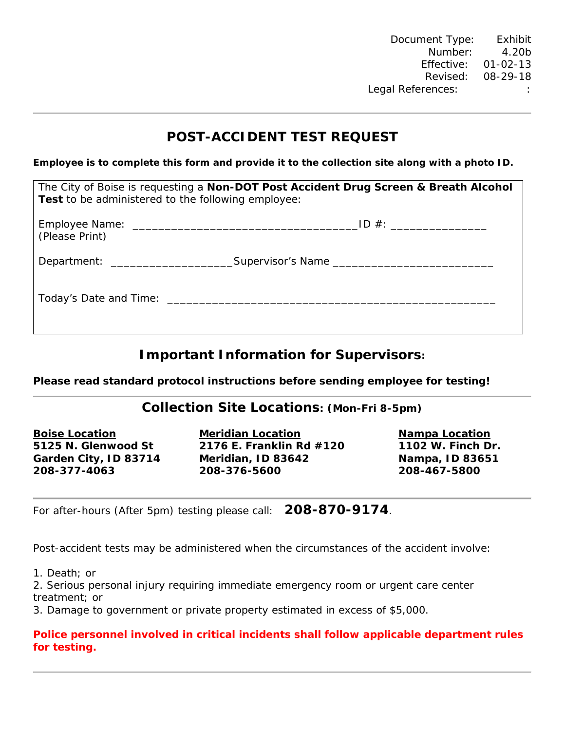## **POST-ACCIDENT TEST REQUEST**

**Employee is to complete this form and provide it to the collection site along with a photo ID.** 

| The City of Boise is requesting a Non-DOT Post Accident Drug Screen & Breath Alcohol<br><b>Test</b> to be administered to the following employee: |                                                                                  |  |
|---------------------------------------------------------------------------------------------------------------------------------------------------|----------------------------------------------------------------------------------|--|
| (Please Print)                                                                                                                                    |                                                                                  |  |
|                                                                                                                                                   | Department: _________________________Supervisor's Name _________________________ |  |
|                                                                                                                                                   |                                                                                  |  |

# **Important Information for Supervisors:**

**Please read standard protocol instructions before sending employee for testing!** 

### **Collection Site Locations: (Mon-Fri 8-5pm)**

**Boise Location Meridian Location Nampa Location**

**5125 N. Glenwood St 2176 E. Franklin Rd #120 1102 W. Finch Dr. Garden City, ID 83714 Meridian, ID 83642 Nampa, ID 83651 208-377-4063 208-376-5600 208-467-5800**

For after-hours (After 5pm) testing please call: **208-870-9174**.

Post-accident tests may be administered when the circumstances of the accident involve:

1. Death; or

2. Serious personal injury requiring immediate emergency room or urgent care center treatment; or

3. Damage to government or private property estimated in excess of \$5,000.

#### **Police personnel involved in critical incidents shall follow applicable department rules for testing.**